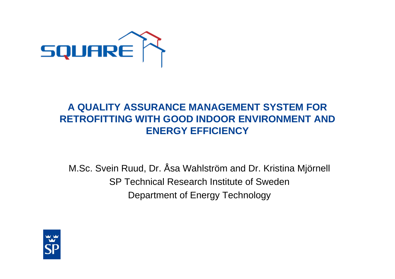

#### **A QUALITY ASSURANCE MANAGEMENT SYSTEM FOR RETROFITTING WITH GOOD INDOOR ENVIRONMENT AND ENERGY EFFICIENCY**

M.Sc. Svein Ruud, Dr. Åsa Wahlström and Dr. Kristina Mjörnell SP Technical Research Institute of SwedenDepartment of Energy Technology

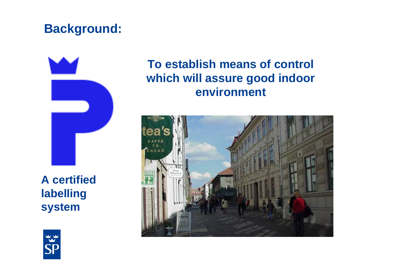# **Background:**



**A certified labelling system**

# **To establish means of control which will assure good indoor environment**



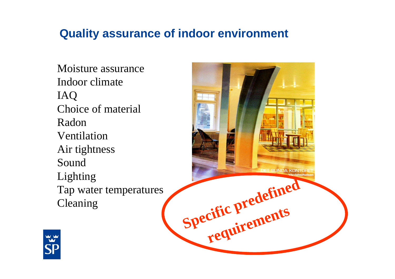## **Quality assurance of indoor environment**

Moisture assuranceIndoor climateIAQ Choice of material RadonVentilationAir tightness SoundLighting Tap water temperatures Cleaning



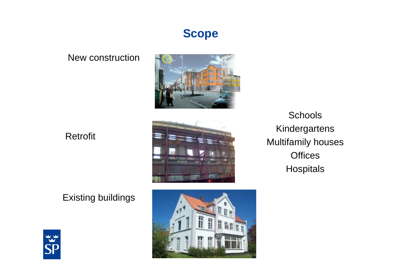

#### New construction



#### Retrofit





Schools Kindergartens Multifamily houses Offices **Hospitals** 



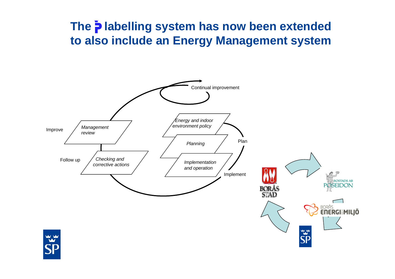## **The**  $\frac{1}{2}$  **labelling system has now been extended to also include an Energy Management system**

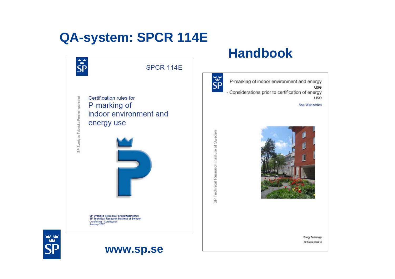# **QA-system: SPCR 114E**

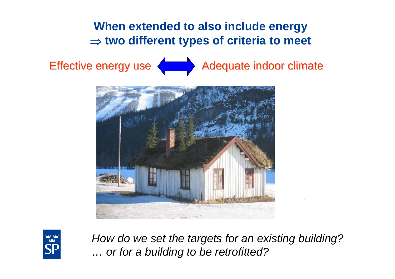## **When extended to also include energy**  ⇒ **two different types of criteria to meet**







*How do we set the targets for an existing building? … or for a building to be retrofitted?*

-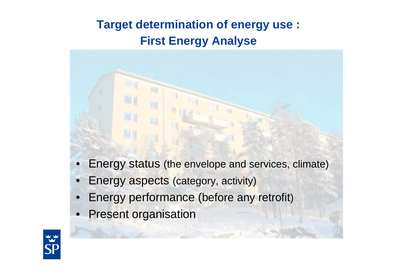# **Target determination of energy use : First Energy Analyse**

- - Energy status (the envelope and services, climate)
	- Energy aspects (category, activity)
	- Energy performance (before any retrofit )
	- **Present organisation**

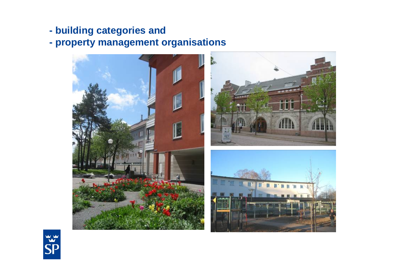- **building categories and**
- **property management organisations**



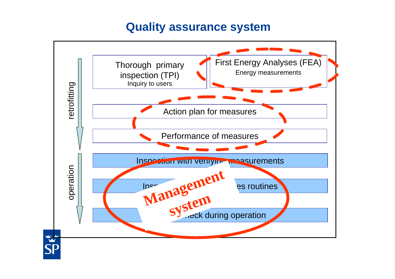### **Quality assurance system**

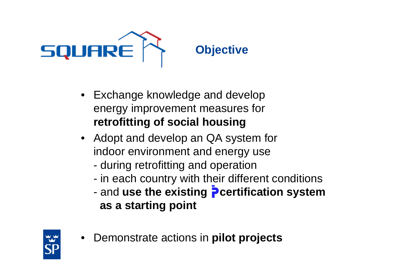

- Exchange knowledge and develop energy improvement measures for **retrofitting of social housing**
- Adopt and develop an QA system for indoor environment and energy use
	- during retrofitting and operation
	- in each country with their different conditions
	- and use the existing **P** certification system **as a starting point**



• Demonstrate actions in **pilot projects**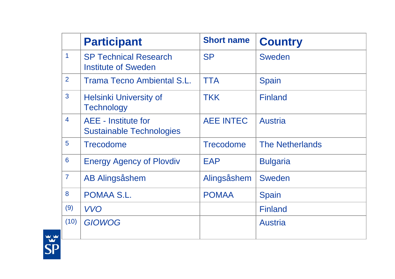|                | <b>Participant</b>                                            | <b>Short name</b> | <b>Country</b>         |
|----------------|---------------------------------------------------------------|-------------------|------------------------|
| $\mathbf 1$    | <b>SP Technical Research</b><br><b>Institute of Sweden</b>    | <b>SP</b>         | Sweden                 |
| $\overline{2}$ | <b>Trama Tecno Ambiental S.L.</b>                             | <b>TTA</b>        | <b>Spain</b>           |
| 3              | <b>Helsinki University of</b><br><b>Technology</b>            | <b>TKK</b>        | <b>Finland</b>         |
| $\overline{4}$ | <b>AEE</b> - Institute for<br><b>Sustainable Technologies</b> | <b>AEE INTEC</b>  | <b>Austria</b>         |
| $5\phantom{1}$ | <b>Trecodome</b>                                              | <b>Trecodome</b>  | <b>The Netherlands</b> |
| 6              | <b>Energy Agency of Plovdiv</b>                               | <b>EAP</b>        | <b>Bulgaria</b>        |
| $\overline{7}$ | <b>AB Alingsåshem</b>                                         | Alingsåshem       | Sweden                 |
| 8              | POMAA S.L.                                                    | <b>POMAA</b>      | <b>Spain</b>           |
| (9)            | <b>VVO</b>                                                    |                   | <b>Finland</b>         |
| (10)           | <b>GIOWOG</b>                                                 |                   | <b>Austria</b>         |

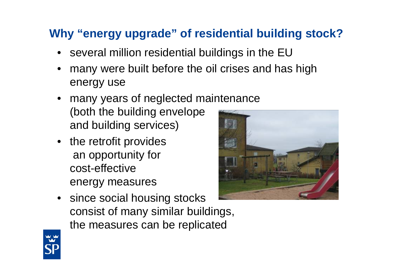# **Why "energy upgrade" of residential building stock?**

- several million residential buildings in the EU
- many were built before the oil crises and has high energy use
- many years of neglected maintenance (both the building envelope and building services)
- the retrofit provides an opportunity for cost-effective energy measures



• since social housing stocks consist of many similar buildings, the measures can be replicated

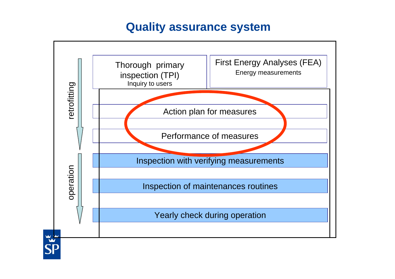### **Quality assurance system**

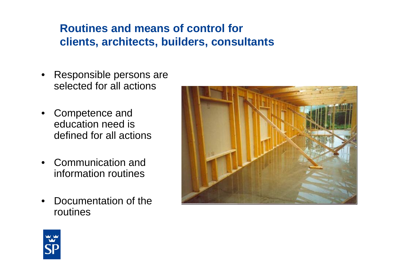## **Routines and means of control for clients, architects, builders, consultants**

- Responsible persons are selected for all actions
- Competence and education need is defined for all actions
- Communication and information routines
- Documentation of the routines



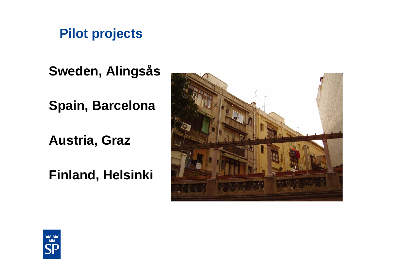**Pilot projects**

**Sweden, Alingsås**

**Spain, Barcelona**

**Austria, Graz**

**Finland, Helsinki**



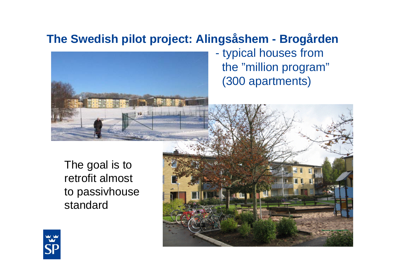# **The Swedish pilot project: Alingsåshem - Brogården**



- typical houses from the "million program" (300 apartments)

The goal is to retrofit almost to passivhouse standard



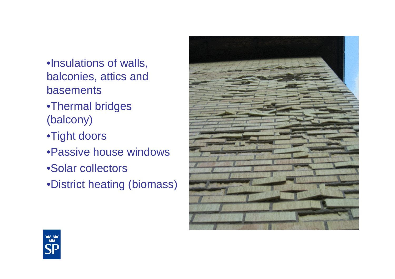•Insulations of walls, balconies, attics and basements

- •Thermal bridges (balcony)
- •Tight doors
- •Passive house windows
- •Solar collectors
- •District heating (biomass)



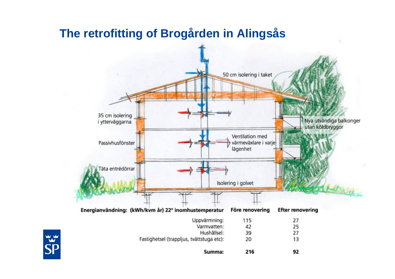## **The retrofitting of Brogården in Alingsås**

**WY**<br>SF